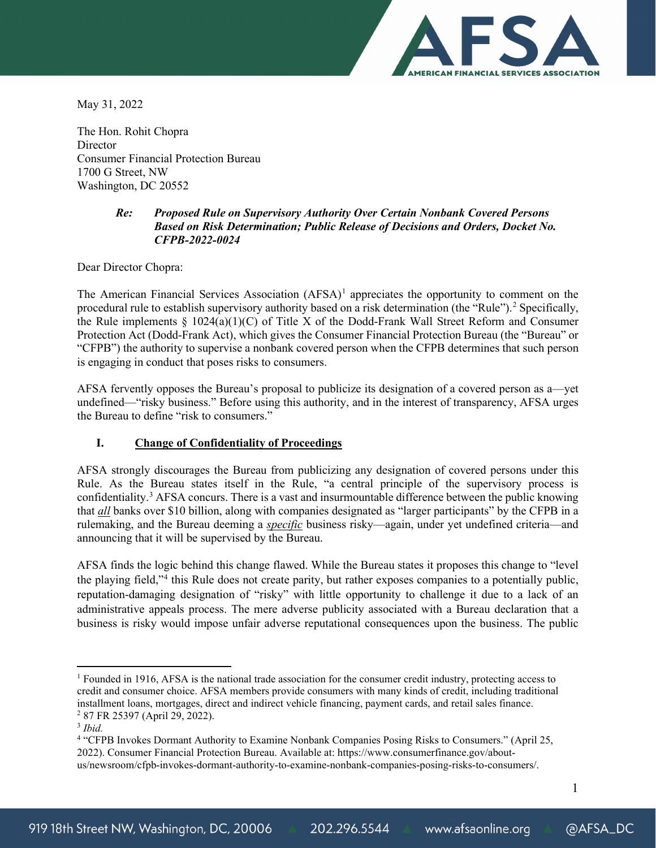

May 31, 2022

The Hon. Rohit Chopra **Director** Consumer Financial Protection Bureau 1700 G Street, NW Washington, DC 20552

## *Re: Proposed Rule on Supervisory Authority Over Certain Nonbank Covered Persons Based on Risk Determination; Public Release of Decisions and Orders, Docket No. CFPB-2022-0024*

Dear Director Chopra:

The American Financial Services Association (AFSA)<sup>[1](#page-0-0)</sup> appreciates the opportunity to comment on the procedural rule to establish supervisory authority based on a risk determination (the "Rule").<sup>[2](#page-0-1)</sup> Specifically, the Rule implements  $\S$  1024(a)(1)(C) of Title X of the Dodd-Frank Wall Street Reform and Consumer Protection Act (Dodd-Frank Act), which gives the Consumer Financial Protection Bureau (the "Bureau" or "CFPB") the authority to supervise a nonbank covered person when the CFPB determines that such person is engaging in conduct that poses risks to consumers.

AFSA fervently opposes the Bureau's proposal to publicize its designation of a covered person as a—yet undefined—"risky business." Before using this authority, and in the interest of transparency, AFSA urges the Bureau to define "risk to consumers."

## **I. Change of Confidentiality of Proceedings**

AFSA strongly discourages the Bureau from publicizing any designation of covered persons under this Rule. As the Bureau states itself in the Rule, "a central principle of the supervisory process is confidentiality.<sup>3</sup> AFSA concurs. There is a vast and insurmountable difference between the public knowing that *all* banks over \$10 billion, along with companies designated as "larger participants" by the CFPB in a rulemaking, and the Bureau deeming a *specific* business risky—again, under yet undefined criteria—and announcing that it will be supervised by the Bureau.

AFSA finds the logic behind this change flawed. While the Bureau states it proposes this change to "level the playing field,"[4](#page-0-3) this Rule does not create parity, but rather exposes companies to a potentially public, reputation-damaging designation of "risky" with little opportunity to challenge it due to a lack of an administrative appeals process. The mere adverse publicity associated with a Bureau declaration that a business is risky would impose unfair adverse reputational consequences upon the business. The public

<span id="page-0-0"></span><sup>&</sup>lt;sup>1</sup> Founded in 1916, AFSA is the national trade association for the consumer credit industry, protecting access to credit and consumer choice. AFSA members provide consumers with many kinds of credit, including traditional installment loans, mortgages, direct and indirect vehicle financing, payment cards, and retail sales finance. <sup>2</sup> 87 FR 25397 (April 29, 2022). 3 *Ibid.*

<span id="page-0-2"></span><span id="page-0-1"></span>

<span id="page-0-3"></span><sup>4</sup> "CFPB Invokes Dormant Authority to Examine Nonbank Companies Posing Risks to Consumers." (April 25, 2022). Consumer Financial Protection Bureau. Available at: https://www.consumerfinance.gov/aboutus/newsroom/cfpb-invokes-dormant-authority-to-examine-nonbank-companies-posing-risks-to-consumers/.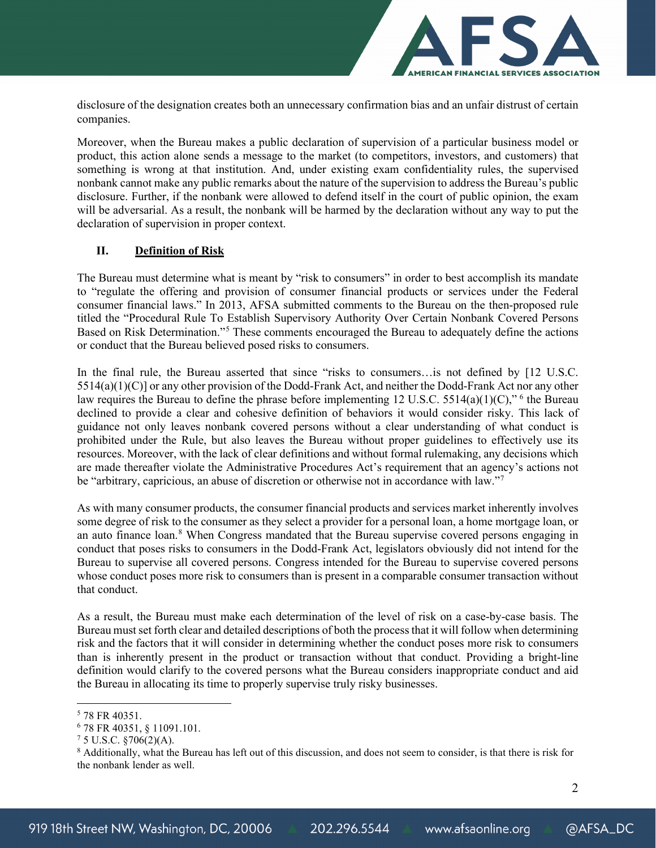

disclosure of the designation creates both an unnecessary confirmation bias and an unfair distrust of certain companies.

Moreover, when the Bureau makes a public declaration of supervision of a particular business model or product, this action alone sends a message to the market (to competitors, investors, and customers) that something is wrong at that institution. And, under existing exam confidentiality rules, the supervised nonbank cannot make any public remarks about the nature of the supervision to address the Bureau's public disclosure. Further, if the nonbank were allowed to defend itself in the court of public opinion, the exam will be adversarial. As a result, the nonbank will be harmed by the declaration without any way to put the declaration of supervision in proper context.

## **II. Definition of Risk**

The Bureau must determine what is meant by "risk to consumers" in order to best accomplish its mandate to "regulate the offering and provision of consumer financial products or services under the Federal consumer financial laws." In 2013, AFSA submitted comments to the Bureau on the then-proposed rule titled the "Procedural Rule To Establish Supervisory Authority Over Certain Nonbank Covered Persons Based on Risk Determination."[5](#page-1-0) These comments encouraged the Bureau to adequately define the actions or conduct that the Bureau believed posed risks to consumers.

In the final rule, the Bureau asserted that since "risks to consumers... is not defined by [12 U.S.C.] 5514(a)(1)(C)] or any other provision of the Dodd-Frank Act, and neither the Dodd-Frank Act nor any other law requires the Bureau to define the phrase before implementing 12 U.S.C. 5514(a)(1)(C)," <sup>[6](#page-1-1)</sup> the Bureau declined to provide a clear and cohesive definition of behaviors it would consider risky. This lack of guidance not only leaves nonbank covered persons without a clear understanding of what conduct is prohibited under the Rule, but also leaves the Bureau without proper guidelines to effectively use its resources. Moreover, with the lack of clear definitions and without formal rulemaking, any decisions which are made thereafter violate the Administrative Procedures Act's requirement that an agency's actions not be "arbitrary, capricious, an abuse of discretion or otherwise not in accordance with law."<sup>[7](#page-1-2)</sup>

As with many consumer products, the consumer financial products and services market inherently involves some degree of risk to the consumer as they select a provider for a personal loan, a home mortgage loan, or an auto finance loan.<sup>[8](#page-1-3)</sup> When Congress mandated that the Bureau supervise covered persons engaging in conduct that poses risks to consumers in the Dodd-Frank Act, legislators obviously did not intend for the Bureau to supervise all covered persons. Congress intended for the Bureau to supervise covered persons whose conduct poses more risk to consumers than is present in a comparable consumer transaction without that conduct.

As a result, the Bureau must make each determination of the level of risk on a case-by-case basis. The Bureau must set forth clear and detailed descriptions of both the process that it will follow when determining risk and the factors that it will consider in determining whether the conduct poses more risk to consumers than is inherently present in the product or transaction without that conduct. Providing a bright-line definition would clarify to the covered persons what the Bureau considers inappropriate conduct and aid the Bureau in allocating its time to properly supervise truly risky businesses.

2

<span id="page-1-3"></span><span id="page-1-2"></span>

<span id="page-1-1"></span><span id="page-1-0"></span><sup>&</sup>lt;sup>5</sup> 78 FR 40351.<br>
<sup>6</sup> 78 FR 40351, § 11091.101.<br>
<sup>7</sup> 5 U.S.C. §706(2)(A).<br>
<sup>8</sup> Additionally, what the Bureau has left out of this discussion, and does not seem to consider, is that there is risk for the nonbank lender as well.